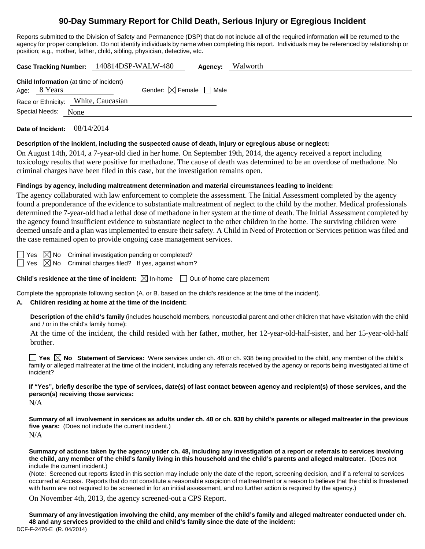# **90-Day Summary Report for Child Death, Serious Injury or Egregious Incident**

Reports submitted to the Division of Safety and Permanence (DSP) that do not include all of the required information will be returned to the agency for proper completion. Do not identify individuals by name when completing this report. Individuals may be referenced by relationship or position; e.g., mother, father, child, sibling, physician, detective, etc.

|                                                                |      | Case Tracking Number: 140814DSP-WALW-480 |                                        | Agency: | Walworth |  |  |
|----------------------------------------------------------------|------|------------------------------------------|----------------------------------------|---------|----------|--|--|
| <b>Child Information</b> (at time of incident)<br>Age: 8 Years |      |                                          | Gender: $\boxtimes$ Female $\Box$ Male |         |          |  |  |
| Race or Ethnicity: White, Caucasian<br>Special Needs:          | None |                                          |                                        |         |          |  |  |
|                                                                |      |                                          |                                        |         |          |  |  |

**Date of Incident:** 08/14/2014

#### **Description of the incident, including the suspected cause of death, injury or egregious abuse or neglect:**

On August 14th, 2014, a 7-year-old died in her home. On September 19th, 2014, the agency received a report including toxicology results that were positive for methadone. The cause of death was determined to be an overdose of methadone. No criminal charges have been filed in this case, but the investigation remains open.

## **Findings by agency, including maltreatment determination and material circumstances leading to incident:**

The agency collaborated with law enforcement to complete the assessment. The Initial Assessment completed by the agency found a preponderance of the evidence to substantiate maltreatment of neglect to the child by the mother. Medical professionals determined the 7-year-old had a lethal dose of methadone in her system at the time of death. The Initial Assessment completed by the agency found insufficient evidence to substantiate neglect to the other children in the home. The surviving children were deemed unsafe and a plan was implemented to ensure their safety. A Child in Need of Protection or Services petition was filed and the case remained open to provide ongoing case management services.

 $\Box$  Yes  $\boxtimes$  No Criminal investigation pending or completed?

 $\Box$  Yes  $\boxtimes$  No Criminal charges filed? If yes, against whom?

**Child's residence at the time of incident:**  $\boxtimes$  In-home  $\Box$  Out-of-home care placement

Complete the appropriate following section (A. or B. based on the child's residence at the time of the incident).

## **A. Children residing at home at the time of the incident:**

**Description of the child's family** (includes household members, noncustodial parent and other children that have visitation with the child and / or in the child's family home):

At the time of the incident, the child resided with her father, mother, her 12-year-old-half-sister, and her 15-year-old-half brother.

■ Yes **No** Statement of Services: Were services under ch. 48 or ch. 938 being provided to the child, any member of the child's family or alleged maltreater at the time of the incident, including any referrals received by the agency or reports being investigated at time of incident?

**If "Yes", briefly describe the type of services, date(s) of last contact between agency and recipient(s) of those services, and the person(s) receiving those services:**

 $N/A$ 

**Summary of all involvement in services as adults under ch. 48 or ch. 938 by child's parents or alleged maltreater in the previous five years:** (Does not include the current incident.) N/A

**Summary of actions taken by the agency under ch. 48, including any investigation of a report or referrals to services involving the child, any member of the child's family living in this household and the child's parents and alleged maltreater.** (Does not include the current incident.)

(Note: Screened out reports listed in this section may include only the date of the report, screening decision, and if a referral to services occurred at Access. Reports that do not constitute a reasonable suspicion of maltreatment or a reason to believe that the child is threatened with harm are not required to be screened in for an initial assessment, and no further action is required by the agency.)

On November 4th, 2013, the agency screened-out a CPS Report.

DCF-F-2476-E (R. 04/2014) **Summary of any investigation involving the child, any member of the child's family and alleged maltreater conducted under ch. 48 and any services provided to the child and child's family since the date of the incident:**